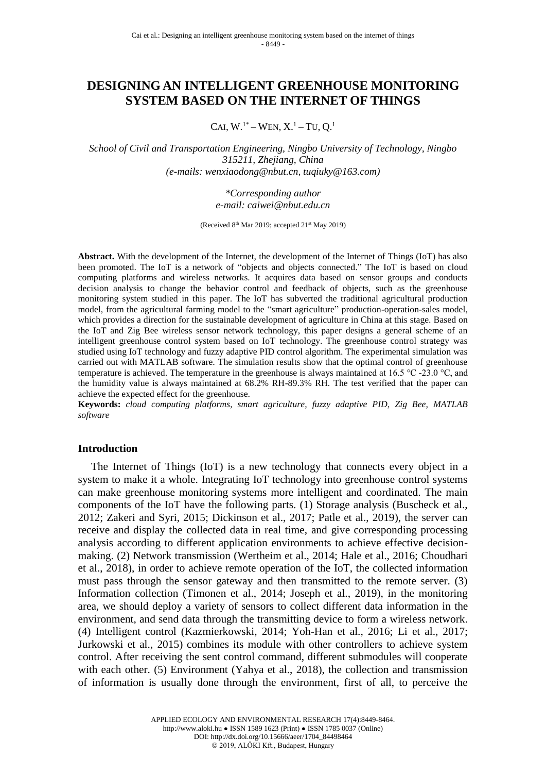# **DESIGNING AN INTELLIGENT GREENHOUSE MONITORING SYSTEM BASED ON THE INTERNET OF THINGS**

CAI,  $W^{1*}$  – WEN,  $X^{1}$  – TU,  $Q^{1}$ 

*School of Civil and Transportation Engineering, Ningbo University of Technology, Ningbo 315211, Zhejiang, China (e-mails: wenxiaodong@nbut.cn, tuqiuky@163.com)*

> *\*Corresponding author e-mail: caiwei@nbut.edu.cn*

(Received 8<sup>th</sup> Mar 2019; accepted 21<sup>st</sup> May 2019)

**Abstract.** With the development of the Internet, the development of the Internet of Things (IoT) has also been promoted. The IoT is a network of "objects and objects connected." The IoT is based on cloud computing platforms and wireless networks. It acquires data based on sensor groups and conducts decision analysis to change the behavior control and feedback of objects, such as the greenhouse monitoring system studied in this paper. The IoT has subverted the traditional agricultural production model, from the agricultural farming model to the "smart agriculture" production-operation-sales model, which provides a direction for the sustainable development of agriculture in China at this stage. Based on the IoT and Zig Bee wireless sensor network technology, this paper designs a general scheme of an intelligent greenhouse control system based on IoT technology. The greenhouse control strategy was studied using IoT technology and fuzzy adaptive PID control algorithm. The experimental simulation was carried out with MATLAB software. The simulation results show that the optimal control of greenhouse temperature is achieved. The temperature in the greenhouse is always maintained at 16.5 °C -23.0 °C, and the humidity value is always maintained at 68.2% RH-89.3% RH. The test verified that the paper can achieve the expected effect for the greenhouse.

**Keywords:** *cloud computing platforms, smart agriculture, fuzzy adaptive PID, Zig Bee, MATLAB software*

#### **Introduction**

The Internet of Things (IoT) is a new technology that connects every object in a system to make it a whole. Integrating IoT technology into greenhouse control systems can make greenhouse monitoring systems more intelligent and coordinated. The main components of the IoT have the following parts. (1) Storage analysis (Buscheck et al., 2012; Zakeri and Syri, 2015; Dickinson et al., 2017; Patle et al., 2019), the server can receive and display the collected data in real time, and give corresponding processing analysis according to different application environments to achieve effective decisionmaking. (2) Network transmission (Wertheim et al., 2014; Hale et al., 2016; Choudhari et al., 2018), in order to achieve remote operation of the IoT, the collected information must pass through the sensor gateway and then transmitted to the remote server. (3) Information collection (Timonen et al., 2014; Joseph et al., 2019), in the monitoring area, we should deploy a variety of sensors to collect different data information in the environment, and send data through the transmitting device to form a wireless network. (4) Intelligent control (Kazmierkowski, 2014; Yoh-Han et al., 2016; Li et al., 2017; Jurkowski et al., 2015) combines its module with other controllers to achieve system control. After receiving the sent control command, different submodules will cooperate with each other. (5) Environment (Yahya et al., 2018), the collection and transmission of information is usually done through the environment, first of all, to perceive the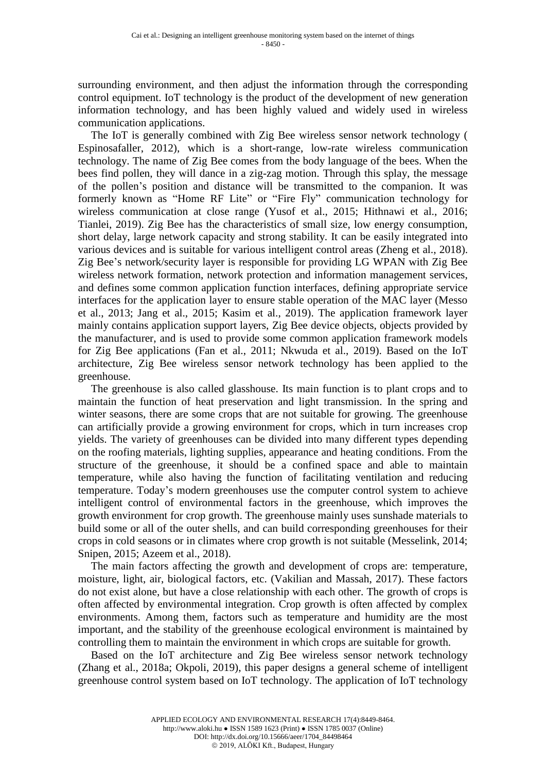surrounding environment, and then adjust the information through the corresponding control equipment. IoT technology is the product of the development of new generation information technology, and has been highly valued and widely used in wireless communication applications.

The IoT is generally combined with Zig Bee wireless sensor network technology ( Espinosafaller, 2012), which is a short-range, low-rate wireless communication technology. The name of Zig Bee comes from the body language of the bees. When the bees find pollen, they will dance in a zig-zag motion. Through this splay, the message of the pollen's position and distance will be transmitted to the companion. It was formerly known as "Home RF Lite" or "Fire Fly" communication technology for wireless communication at close range (Yusof et al., 2015; Hithnawi et al., 2016; Tianlei, 2019). Zig Bee has the characteristics of small size, low energy consumption, short delay, large network capacity and strong stability. It can be easily integrated into various devices and is suitable for various intelligent control areas (Zheng et al., 2018). Zig Bee's network/security layer is responsible for providing LG WPAN with Zig Bee wireless network formation, network protection and information management services, and defines some common application function interfaces, defining appropriate service interfaces for the application layer to ensure stable operation of the MAC layer (Messo et al., 2013; Jang et al., 2015; Kasim et al., 2019). The application framework layer mainly contains application support layers, Zig Bee device objects, objects provided by the manufacturer, and is used to provide some common application framework models for Zig Bee applications (Fan et al., 2011; Nkwuda et al., 2019). Based on the IoT architecture, Zig Bee wireless sensor network technology has been applied to the greenhouse.

The greenhouse is also called glasshouse. Its main function is to plant crops and to maintain the function of heat preservation and light transmission. In the spring and winter seasons, there are some crops that are not suitable for growing. The greenhouse can artificially provide a growing environment for crops, which in turn increases crop yields. The variety of greenhouses can be divided into many different types depending on the roofing materials, lighting supplies, appearance and heating conditions. From the structure of the greenhouse, it should be a confined space and able to maintain temperature, while also having the function of facilitating ventilation and reducing temperature. Today's modern greenhouses use the computer control system to achieve intelligent control of environmental factors in the greenhouse, which improves the growth environment for crop growth. The greenhouse mainly uses sunshade materials to build some or all of the outer shells, and can build corresponding greenhouses for their crops in cold seasons or in climates where crop growth is not suitable (Messelink, 2014; Snipen, 2015; Azeem et al., 2018).

The main factors affecting the growth and development of crops are: temperature, moisture, light, air, biological factors, etc. (Vakilian and Massah, 2017). These factors do not exist alone, but have a close relationship with each other. The growth of crops is often affected by environmental integration. Crop growth is often affected by complex environments. Among them, factors such as temperature and humidity are the most important, and the stability of the greenhouse ecological environment is maintained by controlling them to maintain the environment in which crops are suitable for growth.

Based on the IoT architecture and Zig Bee wireless sensor network technology (Zhang et al., 2018a; Okpoli, 2019), this paper designs a general scheme of intelligent greenhouse control system based on IoT technology. The application of IoT technology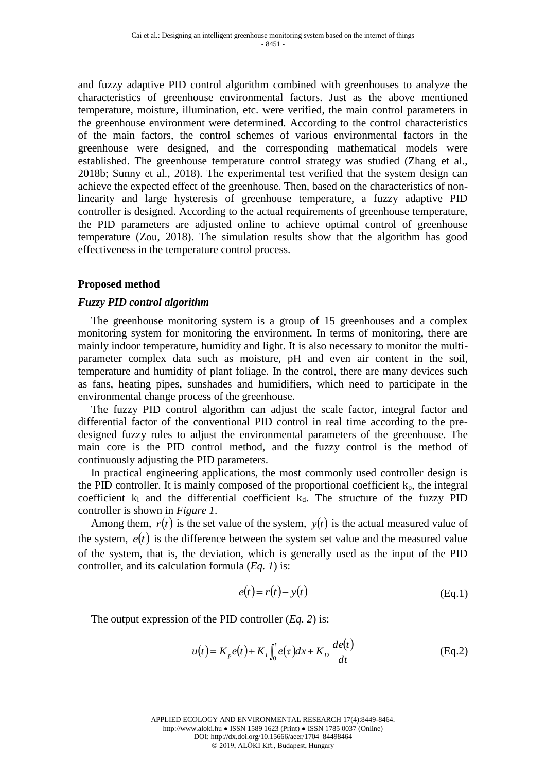and fuzzy adaptive PID control algorithm combined with greenhouses to analyze the characteristics of greenhouse environmental factors. Just as the above mentioned temperature, moisture, illumination, etc. were verified, the main control parameters in the greenhouse environment were determined. According to the control characteristics of the main factors, the control schemes of various environmental factors in the greenhouse were designed, and the corresponding mathematical models were established. The greenhouse temperature control strategy was studied (Zhang et al., 2018b; Sunny et al., 2018). The experimental test verified that the system design can achieve the expected effect of the greenhouse. Then, based on the characteristics of nonlinearity and large hysteresis of greenhouse temperature, a fuzzy adaptive PID controller is designed. According to the actual requirements of greenhouse temperature, the PID parameters are adjusted online to achieve optimal control of greenhouse temperature (Zou, 2018). The simulation results show that the algorithm has good effectiveness in the temperature control process.

## **Proposed method**

### *Fuzzy PID control algorithm*

The greenhouse monitoring system is a group of 15 greenhouses and a complex monitoring system for monitoring the environment. In terms of monitoring, there are mainly indoor temperature, humidity and light. It is also necessary to monitor the multiparameter complex data such as moisture, pH and even air content in the soil, temperature and humidity of plant foliage. In the control, there are many devices such as fans, heating pipes, sunshades and humidifiers, which need to participate in the environmental change process of the greenhouse.

The fuzzy PID control algorithm can adjust the scale factor, integral factor and differential factor of the conventional PID control in real time according to the predesigned fuzzy rules to adjust the environmental parameters of the greenhouse. The main core is the PID control method, and the fuzzy control is the method of continuously adjusting the PID parameters.

In practical engineering applications, the most commonly used controller design is the PID controller. It is mainly composed of the proportional coefficient  $k_p$ , the integral coefficient  $k_i$  and the differential coefficient  $k_d$ . The structure of the fuzzy PID controller is shown in *Figure 1*.

Among them,  $r(t)$  is the set value of the system,  $y(t)$  is the actual measured value of the system,  $e(t)$  is the difference between the system set value and the measured value of the system, that is, the deviation, which is generally used as the input of the PID controller, and its calculation formula (*Eq. 1*) is:

$$
e(t) = r(t) - y(t)
$$
 (Eq.1)

The output expression of the PID controller (*Eq. 2*) is:

$$
u(t) = K_p e(t) + K_I \int_0^t e(\tau) dx + K_D \frac{de(t)}{dt}
$$
 (Eq.2)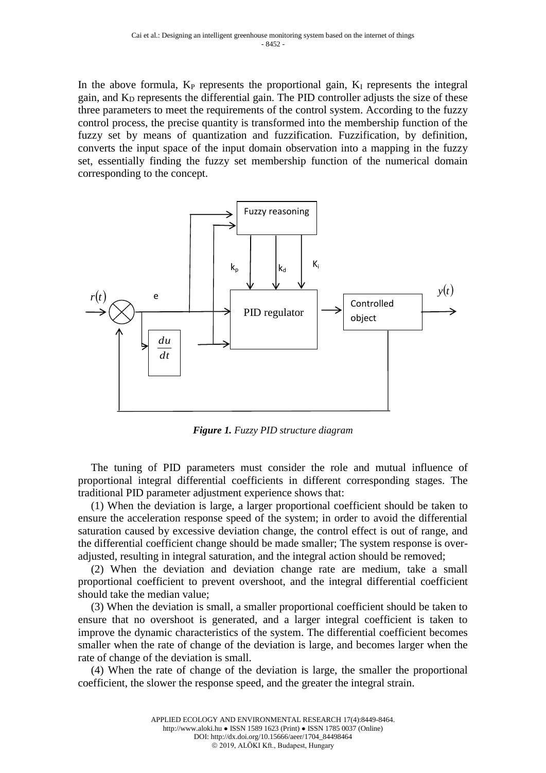In the above formula,  $K_P$  represents the proportional gain,  $K_I$  represents the integral gain, and  $K_D$  represents the differential gain. The PID controller adjusts the size of these three parameters to meet the requirements of the control system. According to the fuzzy control process, the precise quantity is transformed into the membership function of the fuzzy set by means of quantization and fuzzification. Fuzzification, by definition, converts the input space of the input domain observation into a mapping in the fuzzy set, essentially finding the fuzzy set membership function of the numerical domain corresponding to the concept.



*Figure 1. Fuzzy PID structure diagram*

The tuning of PID parameters must consider the role and mutual influence of proportional integral differential coefficients in different corresponding stages. The traditional PID parameter adjustment experience shows that:

(1) When the deviation is large, a larger proportional coefficient should be taken to ensure the acceleration response speed of the system; in order to avoid the differential saturation caused by excessive deviation change, the control effect is out of range, and the differential coefficient change should be made smaller; The system response is overadjusted, resulting in integral saturation, and the integral action should be removed;

(2) When the deviation and deviation change rate are medium, take a small proportional coefficient to prevent overshoot, and the integral differential coefficient should take the median value;

(3) When the deviation is small, a smaller proportional coefficient should be taken to ensure that no overshoot is generated, and a larger integral coefficient is taken to improve the dynamic characteristics of the system. The differential coefficient becomes smaller when the rate of change of the deviation is large, and becomes larger when the rate of change of the deviation is small.

(4) When the rate of change of the deviation is large, the smaller the proportional coefficient, the slower the response speed, and the greater the integral strain.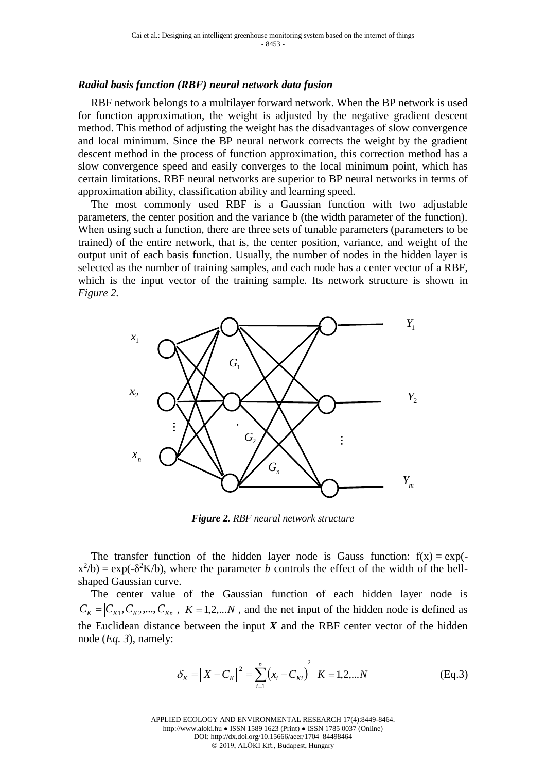#### *Radial basis function (RBF) neural network data fusion*

RBF network belongs to a multilayer forward network. When the BP network is used for function approximation, the weight is adjusted by the negative gradient descent method. This method of adjusting the weight has the disadvantages of slow convergence and local minimum. Since the BP neural network corrects the weight by the gradient descent method in the process of function approximation, this correction method has a slow convergence speed and easily converges to the local minimum point, which has certain limitations. RBF neural networks are superior to BP neural networks in terms of approximation ability, classification ability and learning speed.

The most commonly used RBF is a Gaussian function with two adjustable parameters, the center position and the variance b (the width parameter of the function). When using such a function, there are three sets of tunable parameters (parameters to be trained) of the entire network, that is, the center position, variance, and weight of the output unit of each basis function. Usually, the number of nodes in the hidden layer is selected as the number of training samples, and each node has a center vector of a RBF, which is the input vector of the training sample. Its network structure is shown in *Figure 2.*



*Figure 2. RBF neural network structure*

The transfer function of the hidden layer node is Gauss function:  $f(x) = exp($  $x^2/b$  = exp(- $\delta^2 K/b$ ), where the parameter *b* controls the effect of the width of the bellshaped Gaussian curve.

The center value of the Gaussian function of each hidden layer node is  $C_K = |C_{K1}, C_{K2},..., C_{Kn}|$ ,  $K = 1, 2,...N$ , and the net input of the hidden node is defined as the Euclidean distance between the input  $X$  and the RBF center vector of the hidden node (*Eq. 3*), namely:

$$
\delta_K = \|X - C_K\|^2 = \sum_{i=1}^n (x_i - C_{Ki})^2 \quad K = 1, 2, \dots N
$$
 (Eq.3)

APPLIED ECOLOGY AND ENVIRONMENTAL RESEARCH 17(4):8449-8464. http://www.aloki.hu ● ISSN 1589 1623 (Print) ● ISSN 1785 0037 (Online) DOI: http://dx.doi.org/10.15666/aeer/1704\_84498464 2019, ALÖKI Kft., Budapest, Hungary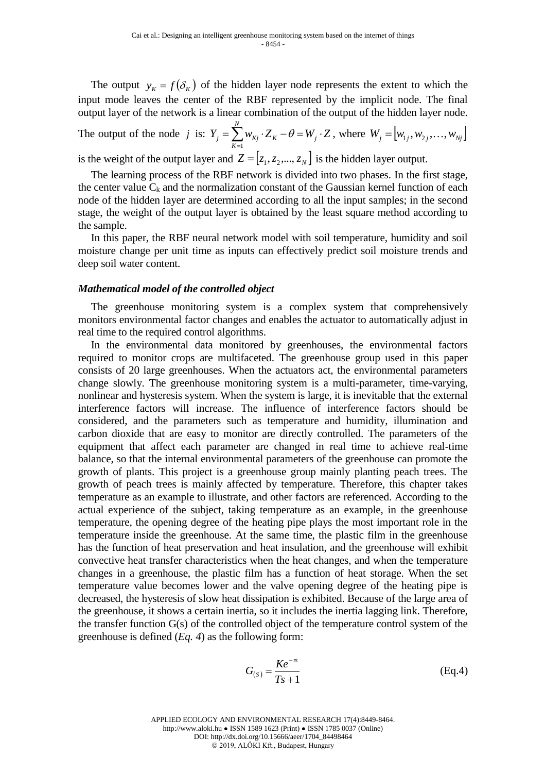The output  $y_K = f(\delta_K)$  of the hidden layer node represents the extent to which the input mode leaves the center of the RBF represented by the implicit node. The final output layer of the network is a linear combination of the output of the hidden layer node.

The output of the node *j* is:  $Y_j = \sum_{K=1} w_{Kj} \cdot Z_K - \theta = W_j$ . *N K*  $Y_j = \sum_{K} W_{Kj} \cdot Z_K - \theta = W_j \cdot Z$ 1  $\theta = W_j \cdot Z$ , where  $W_j = [w_{1j}, w_{2j}, \dots, w_{Nj}]$ is the weight of the output layer and  $Z = [z_1, z_2, ..., z_N]$  is the hidden layer output.

The learning process of the RBF network is divided into two phases. In the first stage, the center value  $C_k$  and the normalization constant of the Gaussian kernel function of each node of the hidden layer are determined according to all the input samples; in the second stage, the weight of the output layer is obtained by the least square method according to the sample.

In this paper, the RBF neural network model with soil temperature, humidity and soil moisture change per unit time as inputs can effectively predict soil moisture trends and deep soil water content.

#### *Mathematical model of the controlled object*

The greenhouse monitoring system is a complex system that comprehensively monitors environmental factor changes and enables the actuator to automatically adjust in real time to the required control algorithms.

In the environmental data monitored by greenhouses, the environmental factors required to monitor crops are multifaceted. The greenhouse group used in this paper consists of 20 large greenhouses. When the actuators act, the environmental parameters change slowly. The greenhouse monitoring system is a multi-parameter, time-varying, nonlinear and hysteresis system. When the system is large, it is inevitable that the external interference factors will increase. The influence of interference factors should be considered, and the parameters such as temperature and humidity, illumination and carbon dioxide that are easy to monitor are directly controlled. The parameters of the equipment that affect each parameter are changed in real time to achieve real-time balance, so that the internal environmental parameters of the greenhouse can promote the growth of plants. This project is a greenhouse group mainly planting peach trees. The growth of peach trees is mainly affected by temperature. Therefore, this chapter takes temperature as an example to illustrate, and other factors are referenced. According to the actual experience of the subject, taking temperature as an example, in the greenhouse temperature, the opening degree of the heating pipe plays the most important role in the temperature inside the greenhouse. At the same time, the plastic film in the greenhouse has the function of heat preservation and heat insulation, and the greenhouse will exhibit convective heat transfer characteristics when the heat changes, and when the temperature changes in a greenhouse, the plastic film has a function of heat storage. When the set temperature value becomes lower and the valve opening degree of the heating pipe is decreased, the hysteresis of slow heat dissipation is exhibited. Because of the large area of the greenhouse, it shows a certain inertia, so it includes the inertia lagging link. Therefore, the transfer function  $G(s)$  of the controlled object of the temperature control system of the greenhouse is defined (*Eq. 4*) as the following form:

$$
G_{(s)} = \frac{Ke^{-\pi}}{Ts + 1}
$$
 (Eq.4)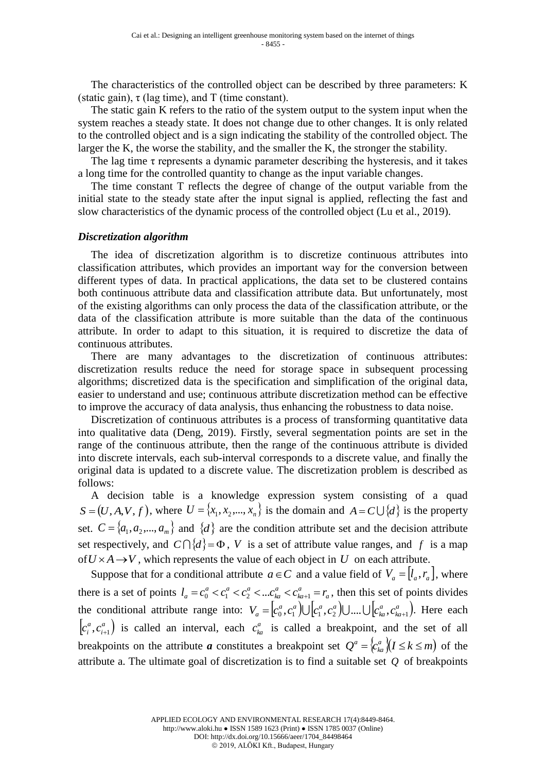The characteristics of the controlled object can be described by three parameters: K (static gain),  $\tau$  (lag time), and T (time constant).

The static gain K refers to the ratio of the system output to the system input when the system reaches a steady state. It does not change due to other changes. It is only related to the controlled object and is a sign indicating the stability of the controlled object. The larger the K, the worse the stability, and the smaller the K, the stronger the stability.

The lag time  $\tau$  represents a dynamic parameter describing the hysteresis, and it takes a long time for the controlled quantity to change as the input variable changes.

The time constant T reflects the degree of change of the output variable from the initial state to the steady state after the input signal is applied, reflecting the fast and slow characteristics of the dynamic process of the controlled object (Lu et al., 2019).

#### *Discretization algorithm*

The idea of discretization algorithm is to discretize continuous attributes into classification attributes, which provides an important way for the conversion between different types of data. In practical applications, the data set to be clustered contains both continuous attribute data and classification attribute data. But unfortunately, most of the existing algorithms can only process the data of the classification attribute, or the data of the classification attribute is more suitable than the data of the continuous attribute. In order to adapt to this situation, it is required to discretize the data of continuous attributes.

There are many advantages to the discretization of continuous attributes: discretization results reduce the need for storage space in subsequent processing algorithms; discretized data is the specification and simplification of the original data, easier to understand and use; continuous attribute discretization method can be effective to improve the accuracy of data analysis, thus enhancing the robustness to data noise.

Discretization of continuous attributes is a process of transforming quantitative data into qualitative data (Deng, 2019). Firstly, several segmentation points are set in the range of the continuous attribute, then the range of the continuous attribute is divided into discrete intervals, each sub-interval corresponds to a discrete value, and finally the original data is updated to a discrete value. The discretization problem is described as follows:

A decision table is a knowledge expression system consisting of a quad  $S = (U, A, V, f)$ , where  $U = \{x_1, x_2, ..., x_n\}$  is the domain and  $A = C \cup \{d\}$  is the property set.  $C = \{a_1, a_2, ..., a_m\}$  and  $\{d\}$  are the condition attribute set and the decision attribute set respectively, and  $C \cap \{d\} = \Phi$ , V is a set of attribute value ranges, and f is a map of  $U \times A \rightarrow V$ , which represents the value of each object in U on each attribute.

Suppose that for a conditional attribute  $a \in C$  and a value field of  $V_a = [l_a, r_a]$ , where there is a set of points  $l_a = c_0^a < c_1^a < c_2^a < ... c_{ka}^a < c_{ka+1}^a = r_a$ *a ka a ka*  $a \rightarrow a^a \rightarrow a^a$  $l_a = c_0^a < c_1^a < c_2^a < ... c_{ka}^a < c_{ka+1}^a = r_a$ , then this set of points divides the conditional attribute range into:  $V_a = [c_0^a, c_1^a] \cup [c_1^a, c_2^a] \cup ... \cup [c_{k_a}^a, c_{k_a+1}^a].$ *ka a ka*  $V_a = [c_0^a, c_1^a] \cup [c_1^a, c_2^a] \cup ... \cup [c_{ka}^a, c_{ka+1}^a]$ . Here each  $\left[ c_i^a, c_{i+1}^a \right)$ *i a*  $c_i^a$ ,  $c_{i+1}^a$ ) is called an interval, each  $c_{ka}^a$  is called a breakpoint, and the set of all breakpoints on the attribute *a* constitutes a breakpoint set  $Q^a = \langle c_{k}^a | (I \leq k \leq m) \rangle$ *ka*  $a = \begin{cases} c_{kq}^a & (I \leq k \leq m) \text{ of the} \end{cases}$ attribute a. The ultimate goal of discretization is to find a suitable set *Q* of breakpoints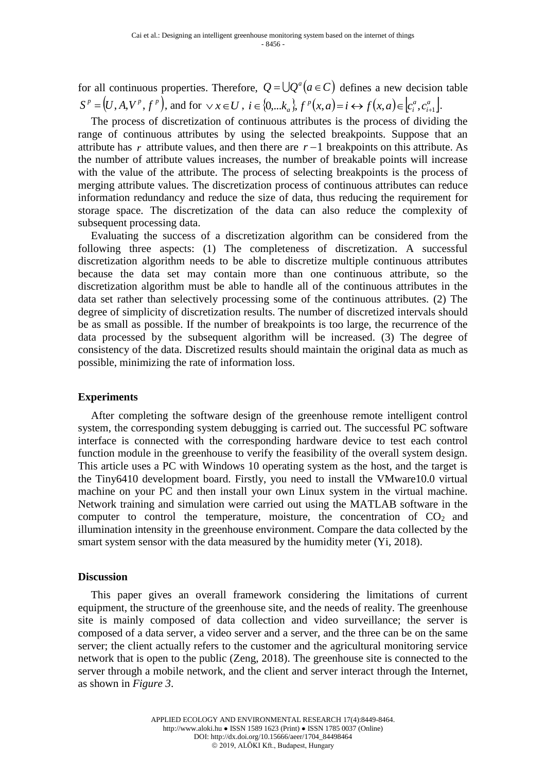for all continuous properties. Therefore,  $Q = \bigcup Q^a (a \in C)$  defines a new decision table  $S^p = (U, A, V^p, f^p)$ , and for  $\vee x \in U$ ,  $i \in \{0, \dots k_a\}$ ,  $f^p(x, a) = i \leftrightarrow f(x, a) \in [c_i^a, c_{i+1}^a]$ . *i a i p*  $i \in \{0, \dots k_a\}, f^p(x, a) = i \leftrightarrow f(x, a) \in [c_i^a, c_{i+1}^a].$ 

The process of discretization of continuous attributes is the process of dividing the range of continuous attributes by using the selected breakpoints. Suppose that an attribute has  *attribute values, and then there are*  $*r* −1$  *breakpoints on this attribute. As* the number of attribute values increases, the number of breakable points will increase with the value of the attribute. The process of selecting breakpoints is the process of merging attribute values. The discretization process of continuous attributes can reduce information redundancy and reduce the size of data, thus reducing the requirement for storage space. The discretization of the data can also reduce the complexity of subsequent processing data.

Evaluating the success of a discretization algorithm can be considered from the following three aspects: (1) The completeness of discretization. A successful discretization algorithm needs to be able to discretize multiple continuous attributes because the data set may contain more than one continuous attribute, so the discretization algorithm must be able to handle all of the continuous attributes in the data set rather than selectively processing some of the continuous attributes. (2) The degree of simplicity of discretization results. The number of discretized intervals should be as small as possible. If the number of breakpoints is too large, the recurrence of the data processed by the subsequent algorithm will be increased. (3) The degree of consistency of the data. Discretized results should maintain the original data as much as possible, minimizing the rate of information loss.

### **Experiments**

After completing the software design of the greenhouse remote intelligent control system, the corresponding system debugging is carried out. The successful PC software interface is connected with the corresponding hardware device to test each control function module in the greenhouse to verify the feasibility of the overall system design. This article uses a PC with Windows 10 operating system as the host, and the target is the Tiny6410 development board. Firstly, you need to install the VMware10.0 virtual machine on your PC and then install your own Linux system in the virtual machine. Network training and simulation were carried out using the MATLAB software in the computer to control the temperature, moisture, the concentration of  $CO<sub>2</sub>$  and illumination intensity in the greenhouse environment. Compare the data collected by the smart system sensor with the data measured by the humidity meter (Yi, 2018).

### **Discussion**

This paper gives an overall framework considering the limitations of current equipment, the structure of the greenhouse site, and the needs of reality. The greenhouse site is mainly composed of data collection and video surveillance; the server is composed of a data server, a video server and a server, and the three can be on the same server; the client actually refers to the customer and the agricultural monitoring service network that is open to the public (Zeng, 2018). The greenhouse site is connected to the server through a mobile network, and the client and server interact through the Internet, as shown in *Figure 3*.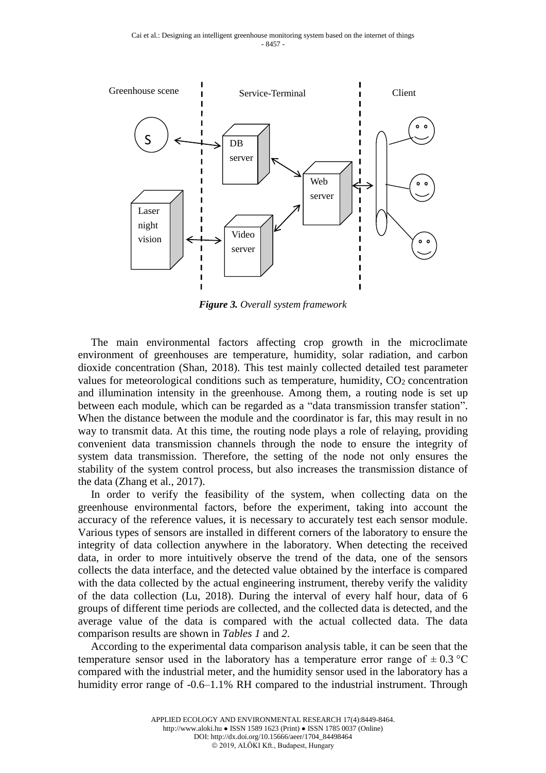

*Figure 3. Overall system framework*

The main environmental factors affecting crop growth in the microclimate environment of greenhouses are temperature, humidity, solar radiation, and carbon dioxide concentration (Shan, 2018). This test mainly collected detailed test parameter values for meteorological conditions such as temperature, humidity,  $CO<sub>2</sub>$  concentration and illumination intensity in the greenhouse. Among them, a routing node is set up between each module, which can be regarded as a "data transmission transfer station". When the distance between the module and the coordinator is far, this may result in no way to transmit data. At this time, the routing node plays a role of relaying, providing convenient data transmission channels through the node to ensure the integrity of system data transmission. Therefore, the setting of the node not only ensures the stability of the system control process, but also increases the transmission distance of the data (Zhang et al., 2017).

In order to verify the feasibility of the system, when collecting data on the greenhouse environmental factors, before the experiment, taking into account the accuracy of the reference values, it is necessary to accurately test each sensor module. Various types of sensors are installed in different corners of the laboratory to ensure the integrity of data collection anywhere in the laboratory. When detecting the received data, in order to more intuitively observe the trend of the data, one of the sensors collects the data interface, and the detected value obtained by the interface is compared with the data collected by the actual engineering instrument, thereby verify the validity of the data collection (Lu, 2018). During the interval of every half hour, data of 6 groups of different time periods are collected, and the collected data is detected, and the average value of the data is compared with the actual collected data. The data comparison results are shown in *Tables 1* and *2*.

According to the experimental data comparison analysis table, it can be seen that the temperature sensor used in the laboratory has a temperature error range of  $\pm 0.3$  °C compared with the industrial meter, and the humidity sensor used in the laboratory has a humidity error range of -0.6–1.1% RH compared to the industrial instrument. Through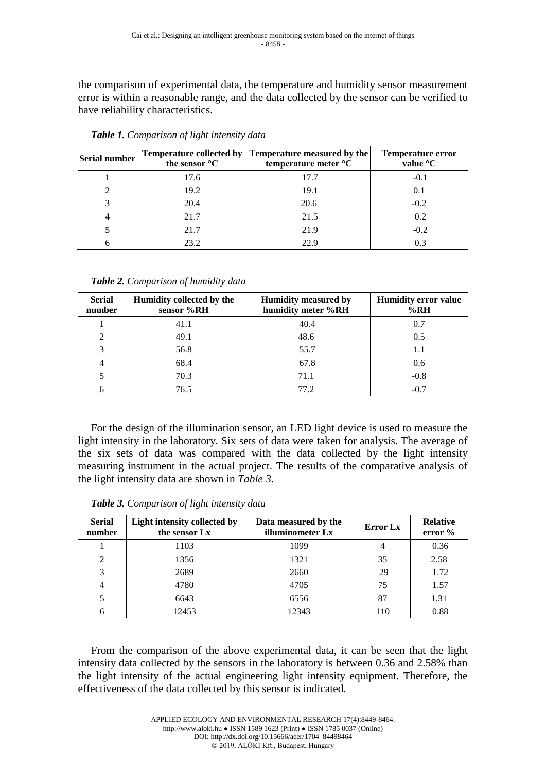the comparison of experimental data, the temperature and humidity sensor measurement error is within a reasonable range, and the data collected by the sensor can be verified to have reliability characteristics.

| Serial number  | the sensor °C | Temperature collected by Temperature measured by the<br>temperature meter °C | <b>Temperature error</b><br>value °C |
|----------------|---------------|------------------------------------------------------------------------------|--------------------------------------|
|                | 17.6          | 17.7                                                                         | $-0.1$                               |
| $\mathfrak{D}$ | 19.2          | 19.1                                                                         | 0.1                                  |
|                | 20.4          | 20.6                                                                         | $-0.2$                               |
| 4              | 21.7          | 21.5                                                                         | 0.2                                  |
|                | 21.7          | 21.9                                                                         | $-0.2$                               |
|                | 23.2          | 22.9                                                                         | 0.3                                  |

*Table 1. Comparison of light intensity data*

*Table 2. Comparison of humidity data*

| <b>Serial</b><br>number | Humidity collected by the<br>sensor %RH | <b>Humidity measured by</b><br>humidity meter %RH | <b>Humidity error value</b><br>%RH |
|-------------------------|-----------------------------------------|---------------------------------------------------|------------------------------------|
|                         | 41.1                                    | 40.4                                              | 0.7                                |
| 2                       | 49.1                                    | 48.6                                              | 0.5                                |
| 3                       | 56.8                                    | 55.7                                              | 1.1                                |
| 4                       | 68.4                                    | 67.8                                              | 0.6                                |
|                         | 70.3                                    | 71.1                                              | $-0.8$                             |
| 6                       | 76.5                                    | 77.2                                              | $-0.7$                             |

For the design of the illumination sensor, an LED light device is used to measure the light intensity in the laboratory. Six sets of data were taken for analysis. The average of the six sets of data was compared with the data collected by the light intensity measuring instrument in the actual project. The results of the comparative analysis of the light intensity data are shown in *Table 3*.

| <b>Serial</b><br>number | Light intensity collected by<br>the sensor Lx | Data measured by the<br><b>Error</b> Lx<br>illuminometer Lx |     | <b>Relative</b><br>error % |
|-------------------------|-----------------------------------------------|-------------------------------------------------------------|-----|----------------------------|
|                         | 1103                                          | 1099                                                        | 4   | 0.36                       |
| 2                       | 1356                                          | 1321                                                        | 35  | 2.58                       |
| 3                       | 2689                                          | 2660                                                        | 29  | 1.72                       |
| $\overline{4}$          | 4780                                          | 4705                                                        | 75  | 1.57                       |
| 5                       | 6643                                          | 6556                                                        | 87  | 1.31                       |
| 6                       | 12453                                         | 12343                                                       | 110 | 0.88                       |

*Table 3. Comparison of light intensity data*

From the comparison of the above experimental data, it can be seen that the light intensity data collected by the sensors in the laboratory is between 0.36 and 2.58% than the light intensity of the actual engineering light intensity equipment. Therefore, the effectiveness of the data collected by this sensor is indicated.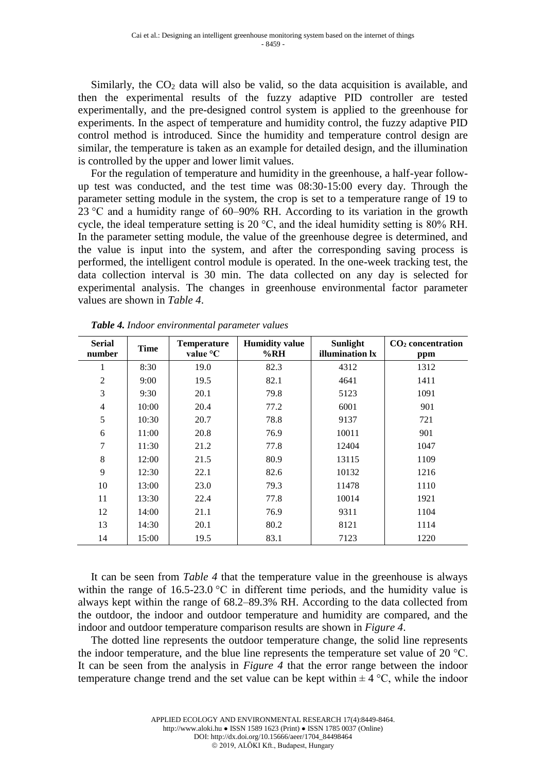Similarly, the  $CO<sub>2</sub>$  data will also be valid, so the data acquisition is available, and then the experimental results of the fuzzy adaptive PID controller are tested experimentally, and the pre-designed control system is applied to the greenhouse for experiments. In the aspect of temperature and humidity control, the fuzzy adaptive PID control method is introduced. Since the humidity and temperature control design are similar, the temperature is taken as an example for detailed design, and the illumination is controlled by the upper and lower limit values.

For the regulation of temperature and humidity in the greenhouse, a half-year followup test was conducted, and the test time was 08:30-15:00 every day. Through the parameter setting module in the system, the crop is set to a temperature range of 19 to 23 °C and a humidity range of 60–90% RH. According to its variation in the growth cycle, the ideal temperature setting is 20 °C, and the ideal humidity setting is 80% RH. In the parameter setting module, the value of the greenhouse degree is determined, and the value is input into the system, and after the corresponding saving process is performed, the intelligent control module is operated. In the one-week tracking test, the data collection interval is 30 min. The data collected on any day is selected for experimental analysis. The changes in greenhouse environmental factor parameter values are shown in *Table 4*.

| <b>Serial</b><br>number | <b>Time</b> | <b>Temperature</b><br>value $\rm{^{\circ}C}$ | <b>Humidity value</b><br>%RH | <b>Sunlight</b><br>illumination lx | CO <sub>2</sub> concentration |
|-------------------------|-------------|----------------------------------------------|------------------------------|------------------------------------|-------------------------------|
|                         |             |                                              |                              |                                    | ppm                           |
| 1                       | 8:30        | 19.0                                         | 82.3                         | 4312                               | 1312                          |
| $\overline{2}$          | 9:00        | 19.5                                         | 82.1                         | 4641                               | 1411                          |
| 3                       | 9:30        | 20.1                                         | 79.8                         | 5123                               | 1091                          |
| $\overline{4}$          | 10:00       | 20.4                                         | 77.2                         | 6001                               | 901                           |
| 5                       | 10:30       | 20.7                                         | 78.8                         | 9137                               | 721                           |
| 6                       | 11:00       | 20.8                                         | 76.9                         | 10011                              | 901                           |
| 7                       | 11:30       | 21.2                                         | 77.8                         | 12404                              | 1047                          |
| 8                       | 12:00       | 21.5                                         | 80.9                         | 13115                              | 1109                          |
| 9                       | 12:30       | 22.1                                         | 82.6                         | 10132                              | 1216                          |
| 10                      | 13:00       | 23.0                                         | 79.3                         | 11478                              | 1110                          |
| 11                      | 13:30       | 22.4                                         | 77.8                         | 10014                              | 1921                          |
| 12                      | 14:00       | 21.1                                         | 76.9                         | 9311                               | 1104                          |
| 13                      | 14:30       | 20.1                                         | 80.2                         | 8121                               | 1114                          |
| 14                      | 15:00       | 19.5                                         | 83.1                         | 7123                               | 1220                          |

*Table 4. Indoor environmental parameter values*

It can be seen from *Table 4* that the temperature value in the greenhouse is always within the range of  $16.5{\text -}23.0$  °C in different time periods, and the humidity value is always kept within the range of 68.2–89.3% RH. According to the data collected from the outdoor, the indoor and outdoor temperature and humidity are compared, and the indoor and outdoor temperature comparison results are shown in *Figure 4*.

The dotted line represents the outdoor temperature change, the solid line represents the indoor temperature, and the blue line represents the temperature set value of 20 °C. It can be seen from the analysis in *Figure 4* that the error range between the indoor temperature change trend and the set value can be kept within  $\pm 4^{\circ}$ C, while the indoor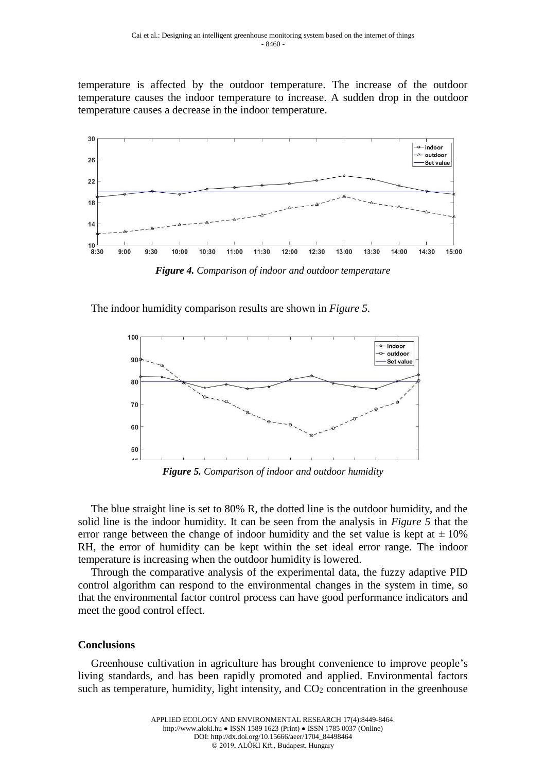temperature is affected by the outdoor temperature. The increase of the outdoor temperature causes the indoor temperature to increase. A sudden drop in the outdoor temperature causes a decrease in the indoor temperature.



*Figure 4. Comparison of indoor and outdoor temperature*

The indoor humidity comparison results are shown in *Figure 5.*



*Figure 5. Comparison of indoor and outdoor humidity*

The blue straight line is set to 80% R, the dotted line is the outdoor humidity, and the solid line is the indoor humidity. It can be seen from the analysis in *Figure 5* that the error range between the change of indoor humidity and the set value is kept at  $\pm 10\%$ RH, the error of humidity can be kept within the set ideal error range. The indoor temperature is increasing when the outdoor humidity is lowered.

Through the comparative analysis of the experimental data, the fuzzy adaptive PID control algorithm can respond to the environmental changes in the system in time, so that the environmental factor control process can have good performance indicators and meet the good control effect.

#### **Conclusions**

Greenhouse cultivation in agriculture has brought convenience to improve people's living standards, and has been rapidly promoted and applied. Environmental factors such as temperature, humidity, light intensity, and  $CO<sub>2</sub>$  concentration in the greenhouse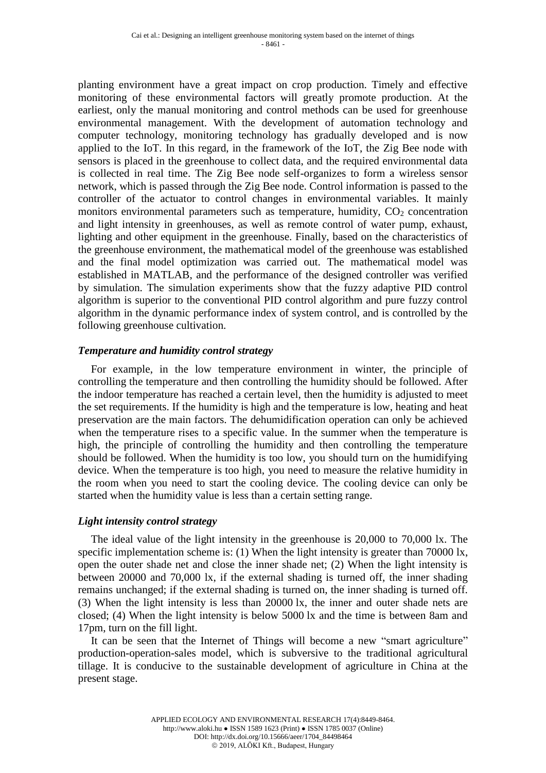planting environment have a great impact on crop production. Timely and effective monitoring of these environmental factors will greatly promote production. At the earliest, only the manual monitoring and control methods can be used for greenhouse environmental management. With the development of automation technology and computer technology, monitoring technology has gradually developed and is now applied to the IoT. In this regard, in the framework of the IoT, the Zig Bee node with sensors is placed in the greenhouse to collect data, and the required environmental data is collected in real time. The Zig Bee node self-organizes to form a wireless sensor network, which is passed through the Zig Bee node. Control information is passed to the controller of the actuator to control changes in environmental variables. It mainly monitors environmental parameters such as temperature, humidity,  $CO<sub>2</sub>$  concentration and light intensity in greenhouses, as well as remote control of water pump, exhaust, lighting and other equipment in the greenhouse. Finally, based on the characteristics of the greenhouse environment, the mathematical model of the greenhouse was established and the final model optimization was carried out. The mathematical model was established in MATLAB, and the performance of the designed controller was verified by simulation. The simulation experiments show that the fuzzy adaptive PID control algorithm is superior to the conventional PID control algorithm and pure fuzzy control algorithm in the dynamic performance index of system control, and is controlled by the following greenhouse cultivation.

### *Temperature and humidity control strategy*

For example, in the low temperature environment in winter, the principle of controlling the temperature and then controlling the humidity should be followed. After the indoor temperature has reached a certain level, then the humidity is adjusted to meet the set requirements. If the humidity is high and the temperature is low, heating and heat preservation are the main factors. The dehumidification operation can only be achieved when the temperature rises to a specific value. In the summer when the temperature is high, the principle of controlling the humidity and then controlling the temperature should be followed. When the humidity is too low, you should turn on the humidifying device. When the temperature is too high, you need to measure the relative humidity in the room when you need to start the cooling device. The cooling device can only be started when the humidity value is less than a certain setting range.

### *Light intensity control strategy*

The ideal value of the light intensity in the greenhouse is 20,000 to 70,000 lx. The specific implementation scheme is: (1) When the light intensity is greater than 70000 lx, open the outer shade net and close the inner shade net; (2) When the light intensity is between 20000 and 70,000 lx, if the external shading is turned off, the inner shading remains unchanged; if the external shading is turned on, the inner shading is turned off. (3) When the light intensity is less than 20000 lx, the inner and outer shade nets are closed; (4) When the light intensity is below 5000 lx and the time is between 8am and 17pm, turn on the fill light.

It can be seen that the Internet of Things will become a new "smart agriculture" production-operation-sales model, which is subversive to the traditional agricultural tillage. It is conducive to the sustainable development of agriculture in China at the present stage.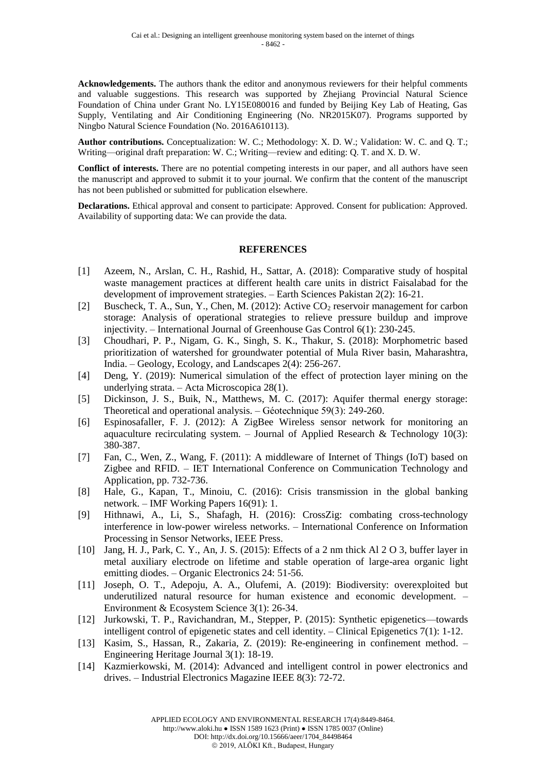**Acknowledgements.** The authors thank the editor and anonymous reviewers for their helpful comments and valuable suggestions. This research was supported by Zhejiang Provincial Natural Science Foundation of China under Grant No. LY15E080016 and funded by Beijing Key Lab of Heating, Gas Supply, Ventilating and Air Conditioning Engineering (No. NR2015K07). Programs supported by Ningbo Natural Science Foundation (No. 2016A610113).

**Author contributions.** Conceptualization: W. C.; Methodology: X. D. W.; Validation: W. C. and Q. T.; Writing—original draft preparation: W. C.; Writing—review and editing: Q. T. and X. D. W.

**Conflict of interests.** There are no potential competing interests in our paper, and all authors have seen the manuscript and approved to submit it to your journal. We confirm that the content of the manuscript has not been published or submitted for publication elsewhere.

**Declarations.** Ethical approval and consent to participate: Approved. Consent for publication: Approved. Availability of supporting data: We can provide the data.

#### **REFERENCES**

- [1] Azeem, N., Arslan, C. H., Rashid, H., Sattar, A. (2018): Comparative study of hospital waste management practices at different health care units in district Faisalabad for the development of improvement strategies. – Earth Sciences Pakistan 2(2): 16-21.
- [2] Buscheck, T. A., Sun, Y., Chen, M. (2012): Active CO<sub>2</sub> reservoir management for carbon storage: Analysis of operational strategies to relieve pressure buildup and improve injectivity. – International Journal of Greenhouse Gas Control 6(1): 230-245.
- [3] Choudhari, P. P., Nigam, G. K., Singh, S. K., Thakur, S. (2018): Morphometric based prioritization of watershed for groundwater potential of Mula River basin, Maharashtra, India. – Geology, Ecology, and Landscapes 2(4): 256-267.
- [4] Deng, Y. (2019): Numerical simulation of the effect of protection layer mining on the underlying strata. – Acta Microscopica 28(1).
- [5] Dickinson, J. S., Buik, N., Matthews, M. C. (2017): Aquifer thermal energy storage: Theoretical and operational analysis. – Géotechnique 59(3): 249-260.
- [6] Espinosafaller, F. J. (2012): A ZigBee Wireless sensor network for monitoring an aquaculture recirculating system. – Journal of Applied Research & Technology 10(3): 380-387.
- [7] Fan, C., Wen, Z., Wang, F. (2011): A middleware of Internet of Things (IoT) based on Zigbee and RFID. – IET International Conference on Communication Technology and Application, pp. 732-736.
- [8] Hale, G., Kapan, T., Minoiu, C. (2016): Crisis transmission in the global banking network. – IMF Working Papers 16(91): 1.
- [9] Hithnawi, A., Li, S., Shafagh, H. (2016): CrossZig: combating cross-technology interference in low-power wireless networks. – International Conference on Information Processing in Sensor Networks, IEEE Press.
- [10] Jang, H. J., Park, C. Y., An, J. S. (2015): Effects of a 2 nm thick Al 2 O 3, buffer layer in metal auxiliary electrode on lifetime and stable operation of large-area organic light emitting diodes. – Organic Electronics 24: 51-56.
- [11] Joseph, O. T., Adepoju, A. A., Olufemi, A. (2019): Biodiversity: overexploited but underutilized natural resource for human existence and economic development. – Environment & Ecosystem Science 3(1): 26-34.
- [12] Jurkowski, T. P., Ravichandran, M., Stepper, P. (2015): Synthetic epigenetics—towards intelligent control of epigenetic states and cell identity. – Clinical Epigenetics 7(1): 1-12.
- [13] Kasim, S., Hassan, R., Zakaria, Z. (2019): Re-engineering in confinement method. Engineering Heritage Journal 3(1): 18-19.
- [14] Kazmierkowski, M. (2014): Advanced and intelligent control in power electronics and drives. – Industrial Electronics Magazine IEEE 8(3): 72-72.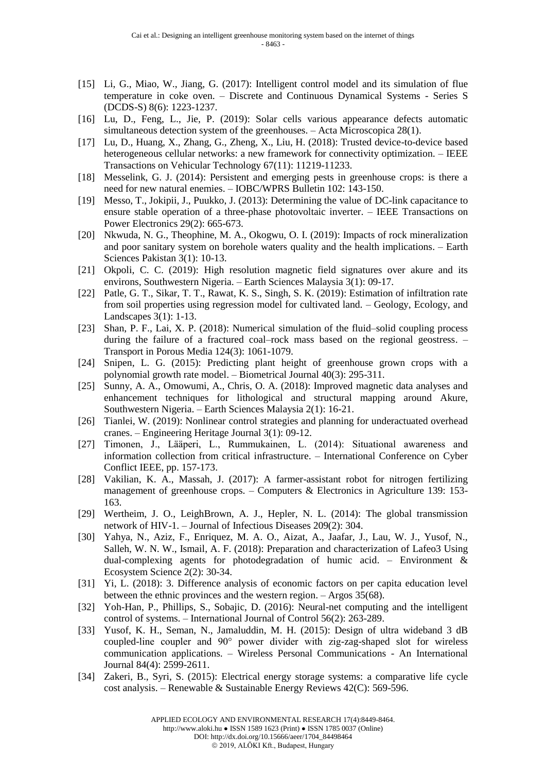- [15] Li, G., Miao, W., Jiang, G. (2017): Intelligent control model and its simulation of flue temperature in coke oven. – Discrete and Continuous Dynamical Systems - Series S (DCDS-S) 8(6): 1223-1237.
- [16] Lu, D., Feng, L., Jie, P. (2019): Solar cells various appearance defects automatic simultaneous detection system of the greenhouses. – Acta Microscopica 28(1).
- [17] Lu, D., Huang, X., Zhang, G., Zheng, X., Liu, H. (2018): Trusted device-to-device based heterogeneous cellular networks: a new framework for connectivity optimization. – IEEE Transactions on Vehicular Technology 67(11): 11219-11233.
- [18] Messelink, G. J. (2014): Persistent and emerging pests in greenhouse crops: is there a need for new natural enemies. – IOBC/WPRS Bulletin 102: 143-150.
- [19] Messo, T., Jokipii, J., Puukko, J. (2013): Determining the value of DC-link capacitance to ensure stable operation of a three-phase photovoltaic inverter. – IEEE Transactions on Power Electronics 29(2): 665-673.
- [20] Nkwuda, N. G., Theophine, M. A., Okogwu, O. I. (2019): Impacts of rock mineralization and poor sanitary system on borehole waters quality and the health implications. – Earth Sciences Pakistan 3(1): 10-13.
- [21] Okpoli, C. C. (2019): High resolution magnetic field signatures over akure and its environs, Southwestern Nigeria. – Earth Sciences Malaysia 3(1): 09-17.
- [22] Patle, G. T., Sikar, T. T., Rawat, K. S., Singh, S. K. (2019): Estimation of infiltration rate from soil properties using regression model for cultivated land. – Geology, Ecology, and Landscapes 3(1): 1-13.
- [23] Shan, P. F., Lai, X. P. (2018): Numerical simulation of the fluid–solid coupling process during the failure of a fractured coal–rock mass based on the regional geostress. – Transport in Porous Media 124(3): 1061-1079.
- [24] Snipen, L. G. (2015): Predicting plant height of greenhouse grown crops with a polynomial growth rate model. – Biometrical Journal 40(3): 295-311.
- [25] Sunny, A. A., Omowumi, A., Chris, O. A. (2018): Improved magnetic data analyses and enhancement techniques for lithological and structural mapping around Akure, Southwestern Nigeria. – Earth Sciences Malaysia 2(1): 16-21.
- [26] Tianlei, W. (2019): Nonlinear control strategies and planning for underactuated overhead cranes. – Engineering Heritage Journal 3(1): 09-12.
- [27] Timonen, J., Lääperi, L., Rummukainen, L. (2014): Situational awareness and information collection from critical infrastructure. – International Conference on Cyber Conflict IEEE, pp. 157-173.
- [28] Vakilian, K. A., Massah, J. (2017): A farmer-assistant robot for nitrogen fertilizing management of greenhouse crops. – Computers & Electronics in Agriculture 139: 153- 163.
- [29] Wertheim, J. O., LeighBrown, A. J., Hepler, N. L. (2014): The global transmission network of HIV-1. – Journal of Infectious Diseases 209(2): 304.
- [30] Yahya, N., Aziz, F., Enriquez, M. A. O., Aizat, A., Jaafar, J., Lau, W. J., Yusof, N., Salleh, W. N. W., Ismail, A. F. (2018): Preparation and characterization of Lafeo3 Using dual-complexing agents for photodegradation of humic acid. – Environment & Ecosystem Science 2(2): 30-34.
- [31] Yi, L. (2018): 3. Difference analysis of economic factors on per capita education level between the ethnic provinces and the western region. – Argos 35(68).
- [32] Yoh-Han, P., Phillips, S., Sobajic, D. (2016): Neural-net computing and the intelligent control of systems. – International Journal of Control 56(2): 263-289.
- [33] Yusof, K. H., Seman, N., Jamaluddin, M. H. (2015): Design of ultra wideband 3 dB coupled-line coupler and 90° power divider with zig-zag-shaped slot for wireless communication applications. – Wireless Personal Communications - An International Journal 84(4): 2599-2611.
- [34] Zakeri, B., Syri, S. (2015): Electrical energy storage systems: a comparative life cycle cost analysis. – Renewable & Sustainable Energy Reviews 42(C): 569-596.